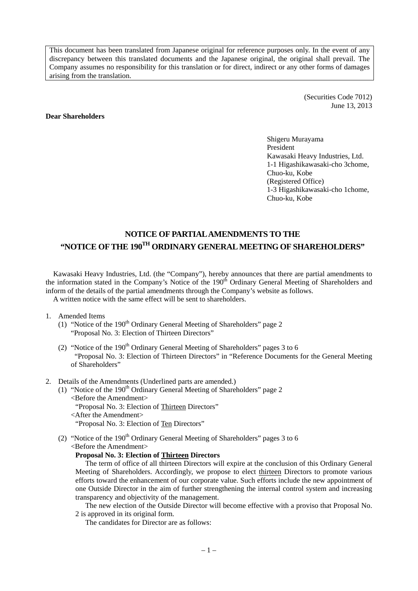This document has been translated from Japanese original for reference purposes only. In the event of any discrepancy between this translated documents and the Japanese original, the original shall prevail. The Company assumes no responsibility for this translation or for direct, indirect or any other forms of damages arising from the translation.

> (Securities Code 7012) June 13, 2013

#### **Dear Shareholders**

Shigeru Murayama President Kawasaki Heavy Industries, Ltd. 1-1 Higashikawasaki-cho 3chome, Chuo-ku, Kobe (Registered Office) 1-3 Higashikawasaki-cho 1chome, Chuo-ku, Kobe

# **NOTICE OF PARTIAL AMENDMENTS TO THE "NOTICE OF THE 190TH ORDINARY GENERAL MEETING OF SHAREHOLDERS"**

Kawasaki Heavy Industries, Ltd. (the "Company"), hereby announces that there are partial amendments to the information stated in the Company's Notice of the 190<sup>th</sup> Ordinary General Meeting of Shareholders and inform of the details of the partial amendments through the Company's website as follows. A written notice with the same effect will be sent to shareholders.

- 1. Amended Items
	- (1) "Notice of the  $190<sup>th</sup>$  Ordinary General Meeting of Shareholders" page 2 "Proposal No. 3: Election of Thirteen Directors"
	- (2) "Notice of the  $190<sup>th</sup>$  Ordinary General Meeting of Shareholders" pages 3 to 6 "Proposal No. 3: Election of Thirteen Directors" in "Reference Documents for the General Meeting of Shareholders"
- 2. Details of the Amendments (Underlined parts are amended.)
	- (1) "Notice of the 190<sup>th</sup> Ordinary General Meeting of Shareholders" page 2 <Before the Amendment> "Proposal No. 3: Election of Thirteen Directors" <After the Amendment> "Proposal No. 3: Election of Ten Directors"
	- (2) "Notice of the  $190<sup>th</sup>$  Ordinary General Meeting of Shareholders" pages 3 to 6 <Before the Amendment>

#### **Proposal No. 3: Election of Thirteen Directors**

The term of office of all thirteen Directors will expire at the conclusion of this Ordinary General Meeting of Shareholders. Accordingly, we propose to elect thirteen Directors to promote various efforts toward the enhancement of our corporate value. Such efforts include the new appointment of one Outside Director in the aim of further strengthening the internal control system and increasing transparency and objectivity of the management.

The new election of the Outside Director will become effective with a proviso that Proposal No. 2 is approved in its original form.

The candidates for Director are as follows: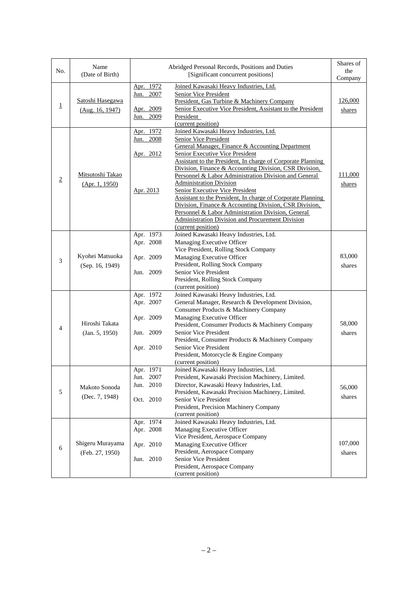| No.            | Name<br>(Date of Birth)             |                                                               | Abridged Personal Records, Positions and Duties<br>[Significant concurrent positions]                                                                                                                                                                                                                                                                                                                                                                                                                                                                                                                                                                                                       | Shares of<br>the<br>Company |
|----------------|-------------------------------------|---------------------------------------------------------------|---------------------------------------------------------------------------------------------------------------------------------------------------------------------------------------------------------------------------------------------------------------------------------------------------------------------------------------------------------------------------------------------------------------------------------------------------------------------------------------------------------------------------------------------------------------------------------------------------------------------------------------------------------------------------------------------|-----------------------------|
| $\overline{1}$ | Satoshi Hasegawa<br>(Aug. 16, 1947) | Apr. 1972<br>2007<br>Jun.<br>Apr. 2009<br>2009<br>Jun.        | Joined Kawasaki Heavy Industries, Ltd.<br>Senior Vice President<br>President, Gas Turbine & Machinery Company<br>Senior Executive Vice President, Assistant to the President<br>President<br>(current position)                                                                                                                                                                                                                                                                                                                                                                                                                                                                             | 126,000<br>shares           |
| $\overline{2}$ | Mitsutoshi Takao<br>(Apr. 1, 1950)  | Apr. 1972<br>Jun. 2008<br>Apr. 2012<br>Apr. 2013              | Joined Kawasaki Heavy Industries, Ltd.<br><b>Senior Vice President</b><br>General Manager, Finance & Accounting Department<br>Senior Executive Vice President<br>Assistant to the President, In charge of Corporate Planning<br>Division, Finance & Accounting Division, CSR Division,<br>Personnel & Labor Administration Division and General<br><b>Administration Division</b><br><b>Senior Executive Vice President</b><br>Assistant to the President, In charge of Corporate Planning<br>Division, Finance & Accounting Division, CSR Division,<br>Personnel & Labor Administration Division, General<br><b>Administration Division and Procurement Division</b><br>(current position) | 111,000<br>shares           |
| 3              | Kyohei Matsuoka<br>(Sep. 16, 1949)  | Apr. 1973<br>Apr. 2008<br>Apr. 2009<br>Jun. 2009              | Joined Kawasaki Heavy Industries, Ltd.<br>Managing Executive Officer<br>Vice President, Rolling Stock Company<br>Managing Executive Officer<br>President, Rolling Stock Company<br>Senior Vice President<br>President, Rolling Stock Company<br>(current position)                                                                                                                                                                                                                                                                                                                                                                                                                          | 83,000<br>shares            |
| 4              | Hiroshi Takata<br>(Jan. 5, 1950)    | Apr. 1972<br>Apr. 2007<br>Apr. 2009<br>Jun. 2009<br>Apr. 2010 | Joined Kawasaki Heavy Industries, Ltd.<br>General Manager, Research & Development Division,<br>Consumer Products & Machinery Company<br>Managing Executive Officer<br>President, Consumer Products & Machinery Company<br>Senior Vice President<br>President, Consumer Products & Machinery Company<br>Senior Vice President<br>President, Motorcycle & Engine Company<br>(current position)                                                                                                                                                                                                                                                                                                | 58,000<br>shares            |
| 5              | Makoto Sonoda<br>(Dec. 7, 1948)     | Apr. 1971<br>Jun. 2007<br>Jun. 2010<br>Oct. 2010              | Joined Kawasaki Heavy Industries, Ltd.<br>President, Kawasaki Precision Machinery, Limited.<br>Director, Kawasaki Heavy Industries, Ltd.<br>President, Kawasaki Precision Machinery, Limited.<br>Senior Vice President<br>President, Precision Machinery Company<br>(current position)                                                                                                                                                                                                                                                                                                                                                                                                      | 56,000<br>shares            |
| 6              | Shigeru Murayama<br>(Feb. 27, 1950) | Apr. 1974<br>Apr. 2008<br>Apr. 2010<br>Jun. 2010              | Joined Kawasaki Heavy Industries, Ltd.<br>Managing Executive Officer<br>Vice President, Aerospace Company<br>Managing Executive Officer<br>President, Aerospace Company<br>Senior Vice President<br>President, Aerospace Company<br>(current position)                                                                                                                                                                                                                                                                                                                                                                                                                                      | 107,000<br>shares           |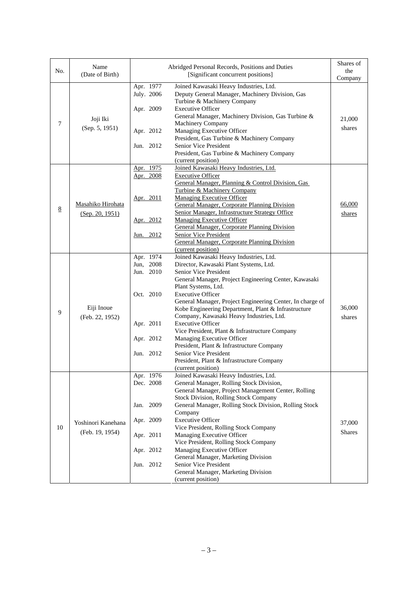| No.             | Name<br>(Date of Birth)               |                                                                                            | Abridged Personal Records, Positions and Duties<br>[Significant concurrent positions]                                                                                                                                                                                                                                                                                                                                                                                                                                                                                                                                                      | Shares of<br>the<br>Company |
|-----------------|---------------------------------------|--------------------------------------------------------------------------------------------|--------------------------------------------------------------------------------------------------------------------------------------------------------------------------------------------------------------------------------------------------------------------------------------------------------------------------------------------------------------------------------------------------------------------------------------------------------------------------------------------------------------------------------------------------------------------------------------------------------------------------------------------|-----------------------------|
| 7               | Joji Iki<br>(Sep. 5, 1951)            | Apr. 1977<br>July. 2006<br>Apr. 2009<br>Apr. 2012<br>Jun. 2012                             | Joined Kawasaki Heavy Industries, Ltd.<br>Deputy General Manager, Machinery Division, Gas<br>Turbine & Machinery Company<br><b>Executive Officer</b><br>General Manager, Machinery Division, Gas Turbine &<br>Machinery Company<br>Managing Executive Officer<br>President, Gas Turbine & Machinery Company<br>Senior Vice President<br>President, Gas Turbine & Machinery Company<br>(current position)                                                                                                                                                                                                                                   | 21,000<br>shares            |
| $\underline{8}$ | Masahiko Hirohata<br>(Sep. 20, 1951)  | Apr. 1975<br>Apr. 2008<br>Apr. 2011<br>Apr. 2012<br>Jun. 2012                              | Joined Kawasaki Heavy Industries, Ltd.<br><b>Executive Officer</b><br>General Manager, Planning & Control Division, Gas<br>Turbine & Machinery Company<br><b>Managing Executive Officer</b><br><b>General Manager, Corporate Planning Division</b><br>Senior Manager, Infrastructure Strategy Office<br><b>Managing Executive Officer</b><br>General Manager, Corporate Planning Division<br><b>Senior Vice President</b><br>General Manager, Corporate Planning Division<br>(current position)                                                                                                                                            | 66,000<br>shares            |
| 9               | Eiji Inoue<br>(Feb. 22, 1952)         | Apr. 1974<br>Jun, 2008<br>Jun. 2010<br>Oct. 2010<br>Apr. 2011<br>Apr. 2012<br>Jun. 2012    | Joined Kawasaki Heavy Industries, Ltd.<br>Director, Kawasaki Plant Systems, Ltd.<br>Senior Vice President<br>General Manager, Project Engineering Center, Kawasaki<br>Plant Systems, Ltd.<br><b>Executive Officer</b><br>General Manager, Project Engineering Center, In charge of<br>Kobe Engineering Department, Plant & Infrastructure<br>Company, Kawasaki Heavy Industries, Ltd.<br><b>Executive Officer</b><br>Vice President, Plant & Infrastructure Company<br>Managing Executive Officer<br>President, Plant & Infrastructure Company<br>Senior Vice President<br>President, Plant & Infrastructure Company<br>(current position) | 36,000<br>shares            |
| 10              | Yoshinori Kanehana<br>(Feb. 19, 1954) | Apr. 1976<br>Dec. 2008<br>2009<br>Jan.<br>Apr. 2009<br>Apr. 2011<br>Apr. 2012<br>Jun. 2012 | Joined Kawasaki Heavy Industries, Ltd.<br>General Manager, Rolling Stock Division,<br>General Manager, Project Management Center, Rolling<br>Stock Division, Rolling Stock Company<br>General Manager, Rolling Stock Division, Rolling Stock<br>Company<br><b>Executive Officer</b><br>Vice President, Rolling Stock Company<br>Managing Executive Officer<br>Vice President, Rolling Stock Company<br>Managing Executive Officer<br>General Manager, Marketing Division<br>Senior Vice President<br>General Manager, Marketing Division<br>(current position)                                                                             | 37,000<br>Shares            |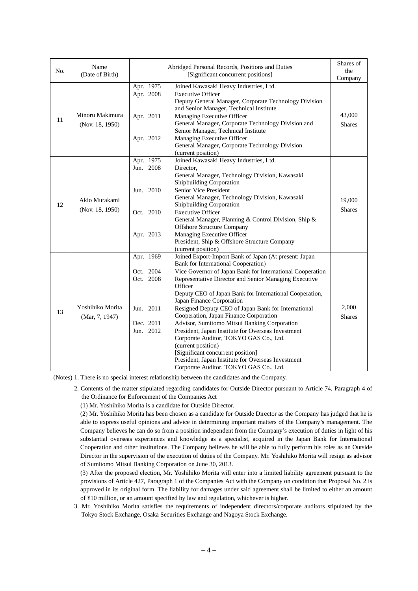| No. | Name<br>(Date of Birth)            |                                                                            | Abridged Personal Records, Positions and Duties<br>[Significant concurrent positions]                                                                                                                                                                                                                                                                                                                                                                                                                                                                                                                                                                                                                                             | Shares of<br>the<br>Company |
|-----|------------------------------------|----------------------------------------------------------------------------|-----------------------------------------------------------------------------------------------------------------------------------------------------------------------------------------------------------------------------------------------------------------------------------------------------------------------------------------------------------------------------------------------------------------------------------------------------------------------------------------------------------------------------------------------------------------------------------------------------------------------------------------------------------------------------------------------------------------------------------|-----------------------------|
| 11  | Minoru Makimura<br>(Nov. 18, 1950) | Apr. 1975<br>Apr. 2008<br>Apr. 2011<br>Apr. 2012                           | Joined Kawasaki Heavy Industries, Ltd.<br><b>Executive Officer</b><br>Deputy General Manager, Corporate Technology Division<br>and Senior Manager, Technical Institute<br>Managing Executive Officer<br>General Manager, Corporate Technology Division and<br>Senior Manager, Technical Institute<br>Managing Executive Officer<br>General Manager, Corporate Technology Division<br>(current position)                                                                                                                                                                                                                                                                                                                           | 43,000<br><b>Shares</b>     |
| 12  | Akio Murakami<br>(Nov. 18, 1950)   | Apr. 1975<br>Jun. 2008<br>Jun. 2010<br>Oct. 2010<br>Apr. 2013              | Joined Kawasaki Heavy Industries, Ltd.<br>Director,<br>General Manager, Technology Division, Kawasaki<br><b>Shipbuilding Corporation</b><br>Senior Vice President<br>General Manager, Technology Division, Kawasaki<br>Shipbuilding Corporation<br><b>Executive Officer</b><br>General Manager, Planning & Control Division, Ship &<br><b>Offshore Structure Company</b><br>Managing Executive Officer<br>President, Ship & Offshore Structure Company<br>(current position)                                                                                                                                                                                                                                                      | 19,000<br><b>Shares</b>     |
| 13  | Yoshihiko Morita<br>(Mar, 7, 1947) | Apr. 1969<br>Oct. 2004<br>Oct. 2008<br>Jun. 2011<br>Dec. 2011<br>Jun. 2012 | Joined Export-Import Bank of Japan (At present: Japan<br>Bank for International Cooperation)<br>Vice Governor of Japan Bank for International Cooperation<br>Representative Director and Senior Managing Executive<br>Officer<br>Deputy CEO of Japan Bank for International Cooperation,<br>Japan Finance Corporation<br>Resigned Deputy CEO of Japan Bank for International<br>Cooperation, Japan Finance Corporation<br>Advisor, Sumitomo Mitsui Banking Corporation<br>President, Japan Institute for Overseas Investment<br>Corporate Auditor, TOKYO GAS Co., Ltd.<br>(current position)<br>[Significant concurrent position]<br>President, Japan Institute for Overseas Investment<br>Corporate Auditor, TOKYO GAS Co., Ltd. | 2,000<br><b>Shares</b>      |

(Notes) 1. There is no special interest relationship between the candidates and the Company.

 2. Contents of the matter stipulated regarding candidates for Outside Director pursuant to Article 74, Paragraph 4 of the Ordinance for Enforcement of the Companies Act

(1) Mr. Yoshihiko Morita is a candidate for Outside Director.

(2) Mr. Yoshihiko Morita has been chosen as a candidate for Outside Director as the Company has judged that he is able to express useful opinions and advice in determining important matters of the Company's management. The Company believes he can do so from a position independent from the Company's execution of duties in light of his substantial overseas experiences and knowledge as a specialist, acquired in the Japan Bank for International Cooperation and other institutions. The Company believes he will be able to fully perform his roles as an Outside Director in the supervision of the execution of duties of the Company. Mr. Yoshihiko Morita will resign as advisor of Sumitomo Mitsui Banking Corporation on June 30, 2013.

(3) After the proposed election, Mr. Yoshihiko Morita will enter into a limited liability agreement pursuant to the provisions of Article 427, Paragraph 1 of the Companies Act with the Company on condition that Proposal No. 2 is approved in its original form. The liability for damages under said agreement shall be limited to either an amount of ¥10 million, or an amount specified by law and regulation, whichever is higher.

 3. Mr. Yoshihiko Morita satisfies the requirements of independent directors/corporate auditors stipulated by the Tokyo Stock Exchange, Osaka Securities Exchange and Nagoya Stock Exchange.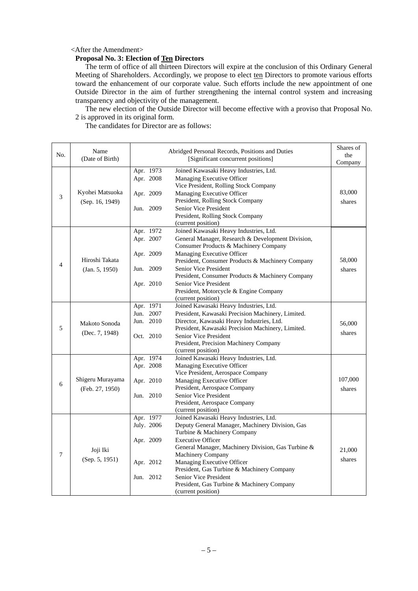### <After the Amendment>

## **Proposal No. 3: Election of Ten Directors**

The term of office of all thirteen Directors will expire at the conclusion of this Ordinary General Meeting of Shareholders. Accordingly, we propose to elect ten Directors to promote various efforts toward the enhancement of our corporate value. Such efforts include the new appointment of one Outside Director in the aim of further strengthening the internal control system and increasing transparency and objectivity of the management.

The new election of the Outside Director will become effective with a proviso that Proposal No. 2 is approved in its original form.

The candidates for Director are as follows:

| No. | Name<br>(Date of Birth)            |                        | Abridged Personal Records, Positions and Duties<br>[Significant concurrent positions]                         | Shares of<br>the<br>Company |
|-----|------------------------------------|------------------------|---------------------------------------------------------------------------------------------------------------|-----------------------------|
| 3   |                                    | Apr. 1973<br>Apr. 2008 | Joined Kawasaki Heavy Industries, Ltd.<br>Managing Executive Officer<br>Vice President, Rolling Stock Company |                             |
|     | Kyohei Matsuoka<br>(Sep. 16, 1949) | Apr. 2009              | Managing Executive Officer<br>President, Rolling Stock Company                                                | 83,000<br>shares            |
|     |                                    | Jun. 2009              | Senior Vice President<br>President, Rolling Stock Company<br>(current position)                               |                             |
|     |                                    | Apr. 1972              | Joined Kawasaki Heavy Industries, Ltd.                                                                        |                             |
|     |                                    | Apr. 2007              | General Manager, Research & Development Division,<br>Consumer Products & Machinery Company                    |                             |
| 4   | Hiroshi Takata                     | Apr. 2009              | Managing Executive Officer<br>President, Consumer Products & Machinery Company                                | 58,000                      |
|     | (Jan. 5, 1950)                     | Jun. 2009              | Senior Vice President<br>President, Consumer Products & Machinery Company                                     | shares                      |
|     |                                    | Apr. 2010              | Senior Vice President<br>President, Motorcycle & Engine Company<br>(current position)                         |                             |
|     |                                    | Apr. 1971              | Joined Kawasaki Heavy Industries, Ltd.                                                                        |                             |
|     |                                    | Jun. 2007              | President, Kawasaki Precision Machinery, Limited.                                                             |                             |
|     | Makoto Sonoda                      | Jun. 2010              | Director, Kawasaki Heavy Industries, Ltd.                                                                     | 56,000                      |
| 5   |                                    |                        | President, Kawasaki Precision Machinery, Limited.                                                             |                             |
|     | (Dec. 7, 1948)                     | Oct. 2010              | Senior Vice President                                                                                         | shares                      |
|     |                                    |                        | President, Precision Machinery Company                                                                        |                             |
|     |                                    |                        | (current position)                                                                                            |                             |
|     |                                    | Apr. 1974              | Joined Kawasaki Heavy Industries, Ltd.                                                                        |                             |
|     |                                    | Apr. 2008              | Managing Executive Officer                                                                                    |                             |
|     | Shigeru Murayama                   |                        | Vice President, Aerospace Company                                                                             | 107,000                     |
| 6   |                                    | Apr. 2010              | Managing Executive Officer                                                                                    |                             |
|     | (Feb. 27, 1950)                    | Jun. 2010              | President, Aerospace Company<br>Senior Vice President                                                         | shares                      |
|     |                                    |                        | President, Aerospace Company                                                                                  |                             |
|     |                                    |                        | (current position)                                                                                            |                             |
|     |                                    | Apr. 1977              | Joined Kawasaki Heavy Industries, Ltd.                                                                        |                             |
|     |                                    | July. 2006             | Deputy General Manager, Machinery Division, Gas                                                               |                             |
|     |                                    |                        | Turbine & Machinery Company                                                                                   |                             |
|     |                                    | Apr. 2009              | <b>Executive Officer</b>                                                                                      |                             |
|     | Joji Iki                           |                        | General Manager, Machinery Division, Gas Turbine &                                                            | 21,000                      |
| 7   | (Sep. 5, 1951)                     |                        | Machinery Company                                                                                             | shares                      |
|     |                                    | Apr. 2012              | Managing Executive Officer                                                                                    |                             |
|     |                                    |                        | President, Gas Turbine & Machinery Company                                                                    |                             |
|     |                                    | Jun. 2012              | Senior Vice President<br>President, Gas Turbine & Machinery Company                                           |                             |
|     |                                    |                        | (current position)                                                                                            |                             |
|     |                                    |                        |                                                                                                               |                             |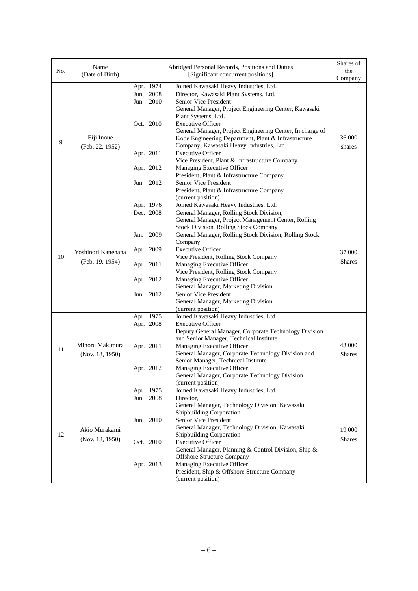| No. | Name<br>(Date of Birth)            |                                     | Abridged Personal Records, Positions and Duties<br>[Significant concurrent positions]                                                                                                                           | Shares of<br>the<br>Company |
|-----|------------------------------------|-------------------------------------|-----------------------------------------------------------------------------------------------------------------------------------------------------------------------------------------------------------------|-----------------------------|
| 9   | Eiji Inoue<br>(Feb. 22, 1952)      | Apr. 1974<br>Jun, 2008<br>Jun. 2010 | Joined Kawasaki Heavy Industries, Ltd.<br>Director, Kawasaki Plant Systems, Ltd.<br>Senior Vice President<br>General Manager, Project Engineering Center, Kawasaki                                              |                             |
|     |                                    | Oct. 2010                           | Plant Systems, Ltd.<br><b>Executive Officer</b><br>General Manager, Project Engineering Center, In charge of<br>Kobe Engineering Department, Plant & Infrastructure<br>Company, Kawasaki Heavy Industries, Ltd. | 36,000<br>shares            |
|     |                                    | Apr. 2011                           | <b>Executive Officer</b><br>Vice President, Plant & Infrastructure Company                                                                                                                                      |                             |
|     |                                    | Apr. 2012                           | Managing Executive Officer<br>President, Plant & Infrastructure Company                                                                                                                                         |                             |
|     |                                    | Jun. 2012                           | Senior Vice President<br>President, Plant & Infrastructure Company<br>(current position)                                                                                                                        |                             |
|     |                                    | Apr. 1976<br>Dec. 2008              | Joined Kawasaki Heavy Industries, Ltd.<br>General Manager, Rolling Stock Division,                                                                                                                              |                             |
|     |                                    |                                     | General Manager, Project Management Center, Rolling<br>Stock Division, Rolling Stock Company                                                                                                                    |                             |
|     |                                    | 2009<br>Jan.                        | General Manager, Rolling Stock Division, Rolling Stock<br>Company                                                                                                                                               |                             |
| 10  | Yoshinori Kanehana                 | Apr. 2009                           | <b>Executive Officer</b><br>Vice President, Rolling Stock Company                                                                                                                                               | 37,000                      |
|     | (Feb. 19, 1954)                    | Apr. 2011                           | Managing Executive Officer<br>Vice President, Rolling Stock Company                                                                                                                                             | <b>Shares</b>               |
|     |                                    | Apr. 2012                           | Managing Executive Officer<br>General Manager, Marketing Division                                                                                                                                               |                             |
|     |                                    | Jun. 2012                           | Senior Vice President<br>General Manager, Marketing Division                                                                                                                                                    |                             |
|     |                                    | Apr. 1975                           | (current position)<br>Joined Kawasaki Heavy Industries, Ltd.                                                                                                                                                    |                             |
|     |                                    | Apr. 2008                           | <b>Executive Officer</b><br>Deputy General Manager, Corporate Technology Division<br>and Senior Manager, Technical Institute                                                                                    |                             |
| 11  | Minoru Makimura<br>(Nov. 18, 1950) | Apr. 2011                           | Managing Executive Officer<br>General Manager, Corporate Technology Division and                                                                                                                                | 43,000<br><b>Shares</b>     |
|     |                                    | Apr. 2012                           | Senior Manager, Technical Institute<br>Managing Executive Officer<br>General Manager, Corporate Technology Division                                                                                             |                             |
|     |                                    |                                     | (current position)                                                                                                                                                                                              |                             |
|     |                                    | Apr. 1975<br>Jun. 2008              | Joined Kawasaki Heavy Industries, Ltd.<br>Director,                                                                                                                                                             |                             |
|     |                                    |                                     | General Manager, Technology Division, Kawasaki                                                                                                                                                                  |                             |
|     |                                    | Jun. 2010                           | Shipbuilding Corporation<br>Senior Vice President                                                                                                                                                               |                             |
| 12  | Akio Murakami                      |                                     | General Manager, Technology Division, Kawasaki                                                                                                                                                                  | 19,000                      |
|     | (Nov. 18, 1950)                    | Oct. 2010                           | Shipbuilding Corporation<br><b>Executive Officer</b>                                                                                                                                                            | <b>Shares</b>               |
|     |                                    |                                     | General Manager, Planning & Control Division, Ship &<br><b>Offshore Structure Company</b>                                                                                                                       |                             |
|     |                                    | Apr. 2013                           | Managing Executive Officer<br>President, Ship & Offshore Structure Company<br>(current position)                                                                                                                |                             |